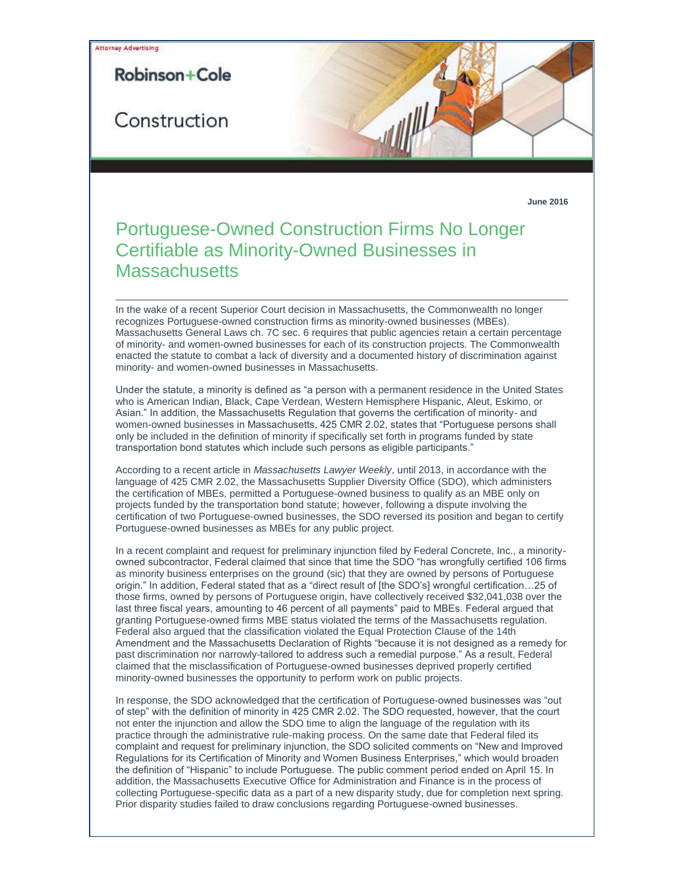

## Portuguese-Owned Construction Firms No Longer Certifiable as Minority-Owned Businesses in **Massachusetts**

In the wake of a recent Superior Court decision in Massachusetts, the Commonwealth no longer recognizes Portuguese-owned construction firms as minority-owned businesses (MBEs). Massachusetts General Laws ch. 7C sec. 6 requires that public agencies retain a certain percentage of minority- and women-owned businesses for each of its construction projects. The Commonwealth enacted the statute to combat a lack of diversity and a documented history of discrimination against minority- and women-owned businesses in Massachusetts.

Under the statute, a minority is defined as "a person with a permanent residence in the United States who is American Indian, Black, Cape Verdean, Western Hemisphere Hispanic, Aleut, Eskimo, or Asian." In addition, the Massachusetts Regulation that governs the certification of minority- and women-owned businesses in Massachusetts, 425 CMR 2.02, states that "Portuguese persons shall only be included in the definition of minority if specifically set forth in programs funded by state transportation bond statutes which include such persons as eligible participants."

According to a recent article in *Massachusetts Lawyer Weekly*, until 2013, in accordance with the language of 425 CMR 2.02, the Massachusetts Supplier Diversity Office (SDO), which administers the certification of MBEs, permitted a Portuguese-owned business to qualify as an MBE only on projects funded by the transportation bond statute; however, following a dispute involving the certification of two Portuguese-owned businesses, the SDO reversed its position and began to certify Portuguese-owned businesses as MBEs for any public project.

In a recent complaint and request for preliminary injunction filed by Federal Concrete, Inc., a minorityowned subcontractor, Federal claimed that since that time the SDO "has wrongfully certified 106 firms as minority business enterprises on the ground (sic) that they are owned by persons of Portuguese origin." In addition, Federal stated that as a "direct result of [the SDO's] wrongful certification…25 of those firms, owned by persons of Portuguese origin, have collectively received \$32,041,038 over the last three fiscal years, amounting to 46 percent of all payments" paid to MBEs. Federal argued that granting Portuguese-owned firms MBE status violated the terms of the Massachusetts regulation. Federal also argued that the classification violated the Equal Protection Clause of the 14th Amendment and the Massachusetts Declaration of Rights "because it is not designed as a remedy for past discrimination nor narrowly-tailored to address such a remedial purpose." As a result, Federal claimed that the misclassification of Portuguese-owned businesses deprived properly certified minority-owned businesses the opportunity to perform work on public projects.

In response, the SDO acknowledged that the certification of Portuguese-owned businesses was "out of step" with the definition of minority in 425 CMR 2.02. The SDO requested, however, that the court not enter the injunction and allow the SDO time to align the language of the regulation with its practice through the administrative rule-making process. On the same date that Federal filed its complaint and request for preliminary injunction, the SDO solicited comments on "New and Improved Regulations for its Certification of Minority and Women Business Enterprises," which would broaden the definition of "Hispanic" to include Portuguese. The public comment period ended on April 15. In addition, the Massachusetts Executive Office for Administration and Finance is in the process of collecting Portuguese-specific data as a part of a new disparity study, due for completion next spring. Prior disparity studies failed to draw conclusions regarding Portuguese-owned businesses.